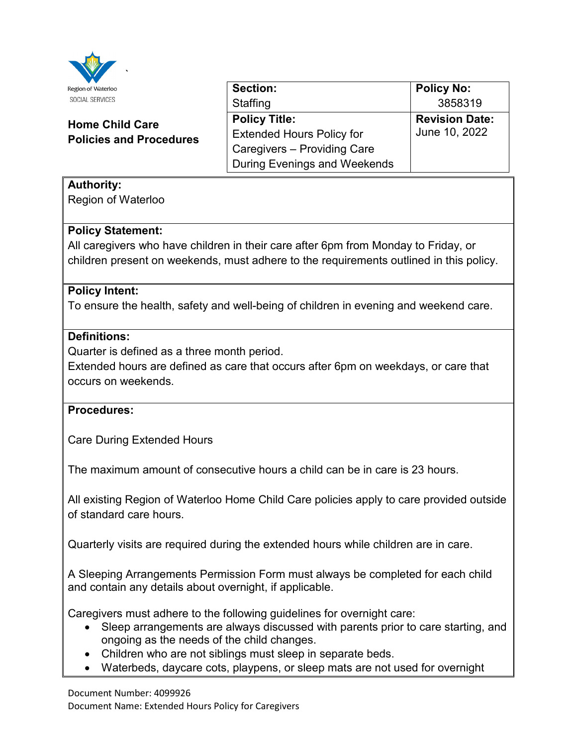

| W                                                        |                                     |                       |
|----------------------------------------------------------|-------------------------------------|-----------------------|
| Region of Waterloo                                       | <b>Section:</b>                     | <b>Policy No:</b>     |
| SOCIAL SERVICES                                          | Staffing                            | 3858319               |
| <b>Home Child Care</b><br><b>Policies and Procedures</b> | <b>Policy Title:</b>                | <b>Revision Date:</b> |
|                                                          | <b>Extended Hours Policy for</b>    | June 10, 2022         |
|                                                          | Caregivers - Providing Care         |                       |
|                                                          | <b>During Evenings and Weekends</b> |                       |

# **Authority:**

Region of Waterloo

## **Policy Statement:**

All caregivers who have children in their care after 6pm from Monday to Friday, or children present on weekends, must adhere to the requirements outlined in this policy.

## **Policy Intent:**

To ensure the health, safety and well-being of children in evening and weekend care.

## **Definitions:**

Quarter is defined as a three month period.

Extended hours are defined as care that occurs after 6pm on weekdays, or care that occurs on weekends.

## **Procedures:**

Care During Extended Hours

The maximum amount of consecutive hours a child can be in care is 23 hours.

All existing Region of Waterloo Home Child Care policies apply to care provided outside of standard care hours.

Quarterly visits are required during the extended hours while children are in care.

A Sleeping Arrangements Permission Form must always be completed for each child and contain any details about overnight, if applicable.

Caregivers must adhere to the following guidelines for overnight care:

- Sleep arrangements are always discussed with parents prior to care starting, and ongoing as the needs of the child changes.
- Children who are not siblings must sleep in separate beds.
- Waterbeds, daycare cots, playpens, or sleep mats are not used for overnight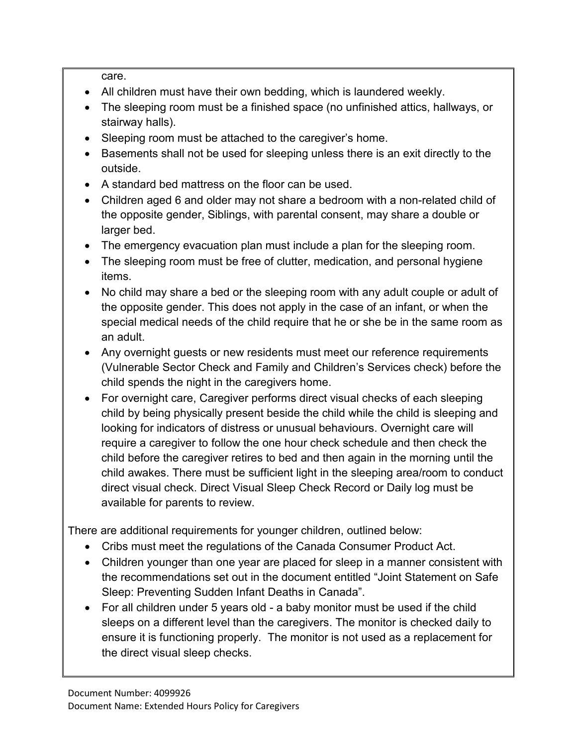care.

- All children must have their own bedding, which is laundered weekly.
- The sleeping room must be a finished space (no unfinished attics, hallways, or stairway halls).
- Sleeping room must be attached to the caregiver's home.
- Basements shall not be used for sleeping unless there is an exit directly to the outside.
- A standard bed mattress on the floor can be used.
- Children aged 6 and older may not share a bedroom with a non-related child of the opposite gender, Siblings, with parental consent, may share a double or larger bed.
- The emergency evacuation plan must include a plan for the sleeping room.
- The sleeping room must be free of clutter, medication, and personal hygiene items.
- • No child may share a bed or the sleeping room with any adult couple or adult of the opposite gender. This does not apply in the case of an infant, or when the special medical needs of the child require that he or she be in the same room as an adult.
- • Any overnight guests or new residents must meet our reference requirements (Vulnerable Sector Check and Family and Children's Services check) before the child spends the night in the caregivers home.
- looking for indicators of distress or unusual behaviours. Overnight care will • For overnight care, Caregiver performs direct visual checks of each sleeping child by being physically present beside the child while the child is sleeping and require a caregiver to follow the one hour check schedule and then check the child before the caregiver retires to bed and then again in the morning until the child awakes. There must be sufficient light in the sleeping area/room to conduct direct visual check. Direct Visual Sleep Check Record or Daily log must be available for parents to review.

There are additional requirements for younger children, outlined below:

- Cribs must meet the regulations of the Canada Consumer Product Act.
- the recommendations set out in the document entitled "Joint Statement on Safe Sleep: Preventing Sudden Infant Deaths in Canada". • Children younger than one year are placed for sleep in a manner consistent with
- • For all children under 5 years old a baby monitor must be used if the child ensure it is functioning properly. The monitor is not used as a replacement for the direct visual sleep checks. sleeps on a different level than the caregivers. The monitor is checked daily to